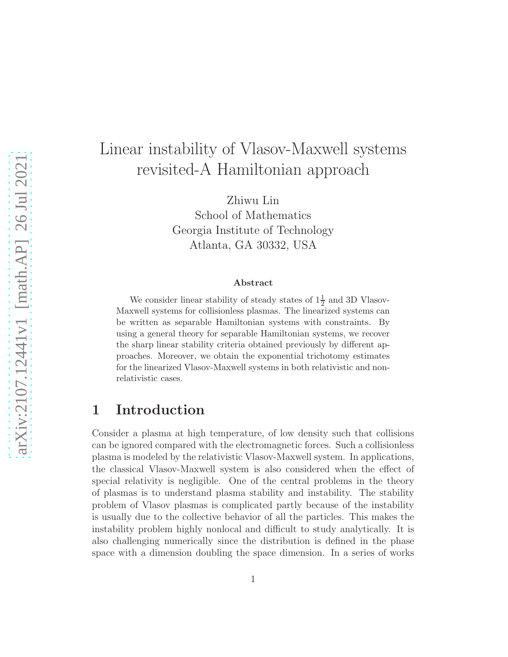# Linear instability of Vlasov-Maxwell systems revisited-A Hamiltonian approach

Zhiwu Lin School of Mathematics Georgia Institute of Technology Atlanta, GA 30332, USA

#### Abstract

We consider linear stability of steady states of  $1\frac{1}{2}$  and 3D Vlasov-Maxwell systems for collisionless plasmas. The linearized systems can be written as separable Hamiltonian systems with constraints. By using a general theory for separable Hamiltonian systems, we recover the sharp linear stability criteria obtained previously by different approaches. Moreover, we obtain the exponential trichotomy estimates for the linearized Vlasov-Maxwell systems in both relativistic and nonrelativistic cases.

# 1 Introduction

Consider a plasma at high temperature, of low density such that collisions can be ignored compared with the electromagnetic forces. Such a collisionless plasma is modeled by the relativistic Vlasov-Maxwell system. In applications, the classical Vlasov-Maxwell system is also considered when the effect of special relativity is negligible. One of the central problems in the theory of plasmas is to understand plasma stability and instability. The stability problem of Vlasov plasmas is complicated partly because of the instability is usually due to the collective behavior of all the particles. This makes the instability problem highly nonlocal and difficult to study analytically. It is also challenging numerically since the distribution is defined in the phase space with a dimension doubling the space dimension. In a series of works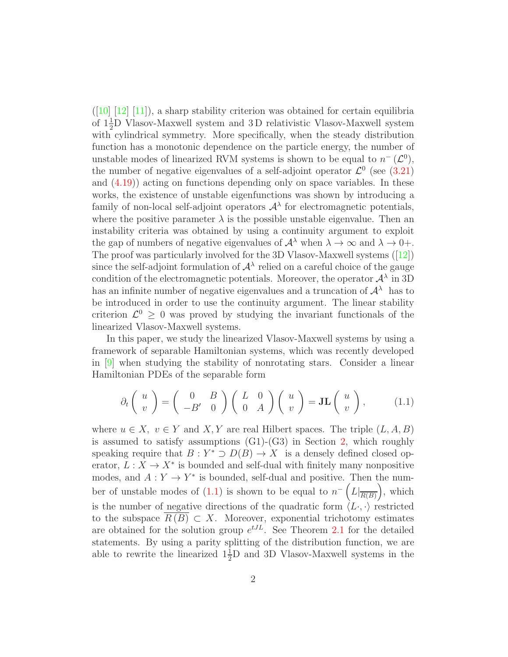$([10] [12] [11])$  $([10] [12] [11])$  $([10] [12] [11])$  $([10] [12] [11])$  $([10] [12] [11])$ , a sharp stability criterion was obtained for certain equilibria of  $1\frac{1}{2}$ D Vlasov-Maxwell system and 3D relativistic Vlasov-Maxwell system with cylindrical symmetry. More specifically, when the steady distribution function has a monotonic dependence on the particle energy, the number of unstable modes of linearized RVM systems is shown to be equal to  $n^-(\mathcal{L}^0)$ , the number of negative eigenvalues of a self-adjoint operator  $\mathcal{L}^0$  (see [\(3.21\)](#page-9-0) and  $(4.19)$ ) acting on functions depending only on space variables. In these works, the existence of unstable eigenfunctions was shown by introducing a family of non-local self-adjoint operators  $A^{\lambda}$  for electromagnetic potentials, where the positive parameter  $\lambda$  is the possible unstable eigenvalue. Then an instability criteria was obtained by using a continuity argument to exploit the gap of numbers of negative eigenvalues of  $\mathcal{A}^{\lambda}$  when  $\lambda \to \infty$  and  $\lambda \to 0+$ . The proof was particularly involved for the 3D Vlasov-Maxwell systems ([\[12\]](#page-22-1)) since the self-adjoint formulation of  $\mathcal{A}^{\lambda}$  relied on a careful choice of the gauge condition of the electromagnetic potentials. Moreover, the operator  $\mathcal{A}^{\lambda}$  in 3D has an infinite number of negative eigenvalues and a truncation of  $\mathcal{A}^{\lambda}$  has to be introduced in order to use the continuity argument. The linear stability criterion  $\mathcal{L}^0 \geq 0$  was proved by studying the invariant functionals of the linearized Vlasov-Maxwell systems.

In this paper, we study the linearized Vlasov-Maxwell systems by using a framework of separable Hamiltonian systems, which was recently developed in [\[9\]](#page-22-3) when studying the stability of nonrotating stars. Consider a linear Hamiltonian PDEs of the separable form

<span id="page-1-0"></span>
$$
\partial_t \begin{pmatrix} u \\ v \end{pmatrix} = \begin{pmatrix} 0 & B \\ -B' & 0 \end{pmatrix} \begin{pmatrix} L & 0 \\ 0 & A \end{pmatrix} \begin{pmatrix} u \\ v \end{pmatrix} = \mathbf{J} \mathbf{L} \begin{pmatrix} u \\ v \end{pmatrix}, \quad (1.1)
$$

where  $u \in X$ ,  $v \in Y$  and X, Y are real Hilbert spaces. The triple  $(L, A, B)$ is assumed to satisfy assumptions  $(G1)-(G3)$  in Section [2,](#page-3-0) which roughly speaking require that  $B: Y^* \supset D(B) \to X$  is a densely defined closed operator,  $L: X \to X^*$  is bounded and self-dual with finitely many nonpositive modes, and  $A: Y \to Y^*$  is bounded, self-dual and positive. Then the num-ber of unstable modes of [\(1.1\)](#page-1-0) is shown to be equal to  $n^{-}\left(L|_{\overline{R(B)}}\right)$ , which is the number of negative directions of the quadratic form  $\langle L \cdot, \cdot \rangle$  restricted to the subspace  $R(B) \subset X$ . Moreover, exponential trichotomy estimates are obtained for the solution group  $e^{tJL}$ . See Theorem [2.1](#page-4-0) for the detailed statements. By using a parity splitting of the distribution function, we are able to rewrite the linearized  $1\frac{1}{2}$ D and 3D Vlasov-Maxwell systems in the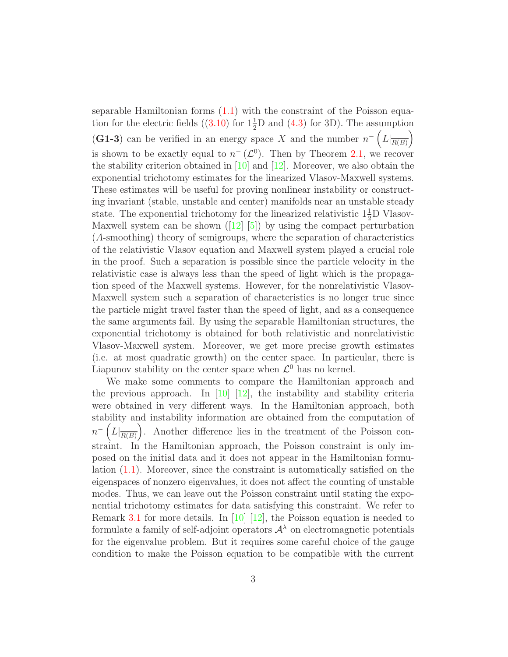separable Hamiltonian forms  $(1.1)$  with the constraint of the Poisson equa-tion for the electric fields ([\(3.10\)](#page-6-0) for  $1\frac{1}{2}$ D and [\(4.3\)](#page-14-0) for 3D). The assumption (G1-3) can be verified in an energy space X and the number  $n^{-}\left(L|_{\overline{R(B)}}\right)$ is shown to be exactly equal to  $n^{-}(\mathcal{L}^{0})$ . Then by Theorem [2.1,](#page-4-0) we recover the stability criterion obtained in  $[10]$  and  $[12]$ . Moreover, we also obtain the exponential trichotomy estimates for the linearized Vlasov-Maxwell systems. These estimates will be useful for proving nonlinear instability or constructing invariant (stable, unstable and center) manifolds near an unstable steady state. The exponential trichotomy for the linearized relativistic  $1\frac{1}{2}D$  Vlasov-Maxwell system can be shown  $(12 \ 5)$  by using the compact perturbation (A-smoothing) theory of semigroups, where the separation of characteristics of the relativistic Vlasov equation and Maxwell system played a crucial role in the proof. Such a separation is possible since the particle velocity in the relativistic case is always less than the speed of light which is the propagation speed of the Maxwell systems. However, for the nonrelativistic Vlasov-Maxwell system such a separation of characteristics is no longer true since the particle might travel faster than the speed of light, and as a consequence the same arguments fail. By using the separable Hamiltonian structures, the exponential trichotomy is obtained for both relativistic and nonrelativistic Vlasov-Maxwell system. Moreover, we get more precise growth estimates (i.e. at most quadratic growth) on the center space. In particular, there is Liapunov stability on the center space when  $\mathcal{L}^0$  has no kernel.

We make some comments to compare the Hamiltonian approach and the previous approach. In [\[10\]](#page-22-0) [\[12\]](#page-22-1), the instability and stability criteria were obtained in very different ways. In the Hamiltonian approach, both stability and instability information are obtained from the computation of  $n^{-}\left(L|_{\overline{R(B)}}\right)$ . Another difference lies in the treatment of the Poisson constraint. In the Hamiltonian approach, the Poisson constraint is only imposed on the initial data and it does not appear in the Hamiltonian formulation [\(1.1\)](#page-1-0). Moreover, since the constraint is automatically satisfied on the eigenspaces of nonzero eigenvalues, it does not affect the counting of unstable modes. Thus, we can leave out the Poisson constraint until stating the exponential trichotomy estimates for data satisfying this constraint. We refer to Remark [3.1](#page-12-0) for more details. In [\[10\]](#page-22-0) [\[12\]](#page-22-1), the Poisson equation is needed to formulate a family of self-adjoint operators  $A^{\lambda}$  on electromagnetic potentials for the eigenvalue problem. But it requires some careful choice of the gauge condition to make the Poisson equation to be compatible with the current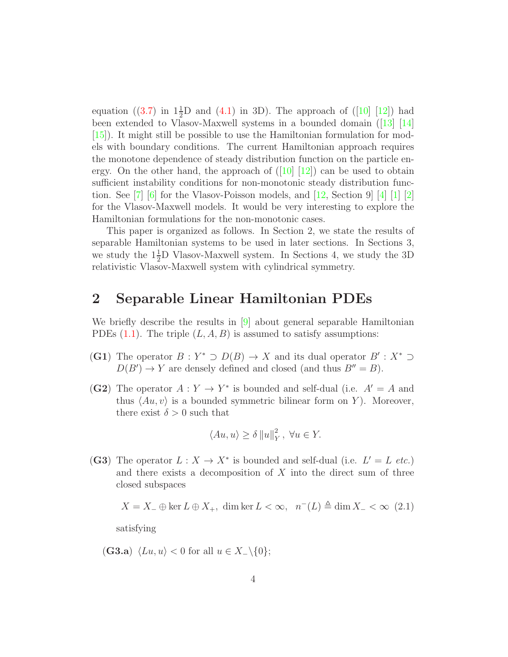equation ([\(3.7\)](#page-6-1) in  $1\frac{1}{2}D$  and [\(4.1\)](#page-14-1) in 3D). The approach of ([\[10\]](#page-22-0) [\[12\]](#page-22-1)) had been extended to Vlasov-Maxwell systems in a bounded domain ([\[13\]](#page-22-4) [\[14\]](#page-22-5)  $(15)$ . It might still be possible to use the Hamiltonian formulation for models with boundary conditions. The current Hamiltonian approach requires the monotone dependence of steady distribution function on the particle energy. On the other hand, the approach of  $(10|12)$  can be used to obtain sufficient instability conditions for non-monotonic steady distribution function. See  $\begin{bmatrix} 7 \\ 6 \end{bmatrix}$  for the Vlasov-Poisson models, and  $\begin{bmatrix} 12 \\ 26 \end{bmatrix}$ , Section 9  $\begin{bmatrix} 4 \\ 1 \end{bmatrix}$   $\begin{bmatrix} 1 \\ 2 \end{bmatrix}$ for the Vlasov-Maxwell models. It would be very interesting to explore the Hamiltonian formulations for the non-monotonic cases.

This paper is organized as follows. In Section 2, we state the results of separable Hamiltonian systems to be used in later sections. In Sections 3, we study the  $1\frac{1}{2}$ D Vlasov-Maxwell system. In Sections 4, we study the 3D relativistic Vlasov-Maxwell system with cylindrical symmetry.

### <span id="page-3-0"></span>2 Separable Linear Hamiltonian PDEs

We briefly describe the results in [\[9\]](#page-22-3) about general separable Hamiltonian PDEs  $(1.1)$ . The triple  $(L, A, B)$  is assumed to satisfy assumptions:

- (G1) The operator  $B: Y^* \supset D(B) \to X$  and its dual operator  $B': X^* \supset$  $D(B') \to Y$  are densely defined and closed (and thus  $B'' = B$ ).
- (G2) The operator  $A: Y \to Y^*$  is bounded and self-dual (i.e.  $A' = A$  and thus  $\langle Au, v \rangle$  is a bounded symmetric bilinear form on Y). Moreover, there exist  $\delta > 0$  such that

$$
\langle Au, u \rangle \ge \delta \|u\|_Y^2, \ \forall u \in Y.
$$

(G3) The operator  $L: X \to X^*$  is bounded and self-dual (i.e.  $L' = L$  *etc.*) and there exists a decomposition of  $X$  into the direct sum of three closed subspaces

 $X = X_-\oplus \ker L \oplus X_+$ , dim ker  $L < \infty$ ,  $n^-(L) \triangleq \dim X_- < \infty$  (2.1)

satisfying

(G3.a)  $\langle Lu, u \rangle < 0$  for all  $u \in X_{-}\backslash\{0\};$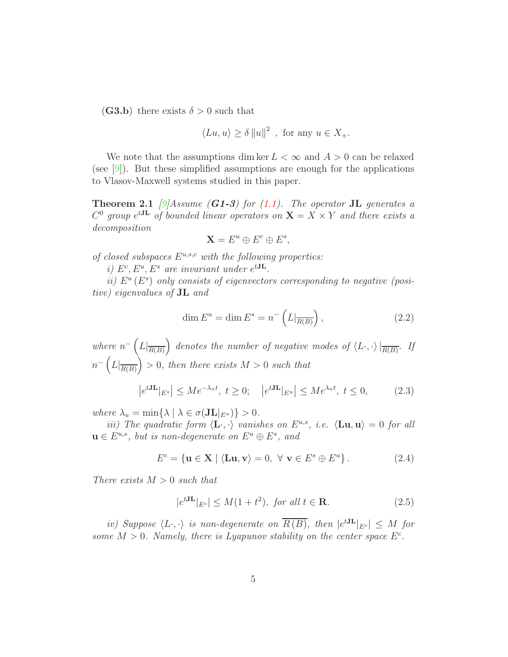(G3.b) there exists  $\delta > 0$  such that

$$
\langle Lu, u \rangle \ge \delta ||u||^2
$$
, for any  $u \in X_+$ .

We note that the assumptions dim ker  $L < \infty$  and  $A > 0$  can be relaxed (see  $[9]$ ). But these simplified assumptions are enough for the applications to Vlasov-Maxwell systems studied in this paper.

<span id="page-4-0"></span>**Theorem 2.1** *[\[9\]](#page-22-3)Assume (G1-3) for (1.1). The operator* **JL** *generates* a  $C^0$  group  $e^{tJL}$  of bounded linear operators on  $X = X \times Y$  and there exists a *decomposition*

$$
\mathbf{X} = E^u \oplus E^c \oplus E^s,
$$

*of closed subspaces* Eu,s,c *with the following properties:*

*i*)  $E^c, E^u, E^s$  are invariant under  $e^{tJL}$ .

*ii*)  $E^u(E^s)$  only consists of eigenvectors corresponding to negative (posi*tive) eigenvalues of* JL *and*

<span id="page-4-3"></span><span id="page-4-1"></span>
$$
\dim E^u = \dim E^s = n^{-} \left( L|_{\overline{R(B)}} \right),\tag{2.2}
$$

where  $n^{-}\left(L|_{\overline{R(B)}}\right)$  denotes the number of negative modes of  $\langle L \cdot, \cdot \rangle|_{\overline{R(B)}}$ . If  $n^{-}\left(L|_{\overline{R(B)}}\right) > 0$ , then there exists  $M > 0$  such that

$$
\left|e^{tJ\mathbf{L}}|_{E^s}\right| \le Me^{-\lambda_u t}, \ t \ge 0; \quad \left|e^{tJ\mathbf{L}}|_{E^u}\right| \le Me^{\lambda_u t}, \ t \le 0,\tag{2.3}
$$

*where*  $\lambda_u = \min\{\lambda \mid \lambda \in \sigma(\mathbf{JL}|_{E^u})\} > 0$ .

*iii)* The quadratic form  $\langle L \cdot, \cdot \rangle$  vanishes on  $E^{u,s}$ , *i.e.*  $\langle Lu, u \rangle = 0$  *for all*  $u \in E^{u,s}$ , but is non-degenerate on  $E^u \oplus E^s$ , and

$$
E^{c} = \{ \mathbf{u} \in \mathbf{X} \mid \langle \mathbf{L}\mathbf{u}, \mathbf{v} \rangle = 0, \ \forall \ \mathbf{v} \in E^{s} \oplus E^{u} \}.
$$
 (2.4)

*There exists* M > 0 *such that*

<span id="page-4-2"></span>
$$
|e^{tJ\mathbf{L}}|_{E^c}| \le M(1+t^2), \text{ for all } t \in \mathbf{R}.\tag{2.5}
$$

*iv)* Suppose  $\langle L \cdot, \cdot \rangle$  *is non-degenerate on*  $\overline{R(B)}$ *, then*  $|e^{tJL}|_{E^c}| \leq M$  for some  $M > 0$ . Namely, there is Lyapunov stability on the center space  $E^c$ .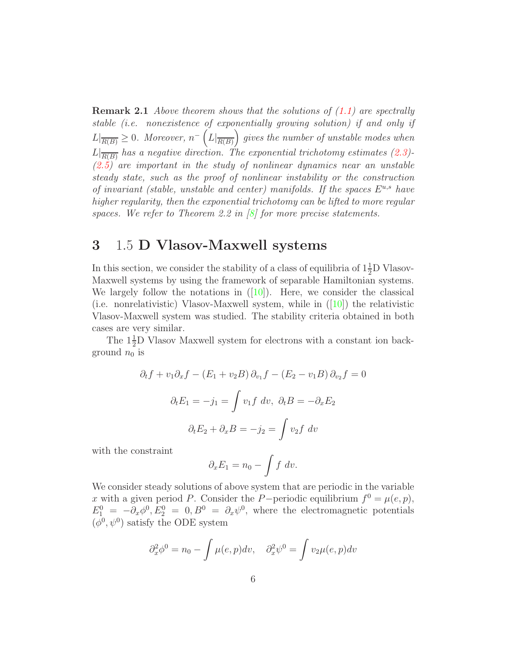Remark 2.1 *Above theorem shows that the solutions of [\(1.1\)](#page-1-0) are spectrally stable (i.e. nonexistence of exponentially growing solution) if and only if*  $L|_{\overline{R(B)}} \geq 0$ *. Moreover,*  $n^{-}\left(L|_{\overline{R(B)}}\right)$  gives the number of unstable modes when  $L|_{\overline{R(B)}}$  has a negative direction. The exponential trichotomy estimates [\(2.3\)](#page-4-1)<sup>-</sup> *[\(2.5\)](#page-4-2) are important in the study of nonlinear dynamics near an unstable steady state, such as the proof of nonlinear instability or the construction of invariant (stable, unstable and center) manifolds. If the spaces*  $E^{u,s}$  *have higher regularity, then the exponential trichotomy can be lifted to more regular spaces. We refer to Theorem 2.2 in [\[8\]](#page-22-8) for more precise statements.*

### 3 1.5 D Vlasov-Maxwell systems

In this section, we consider the stability of a class of equilibria of  $1\frac{1}{2}D$  Vlasov-Maxwell systems by using the framework of separable Hamiltonian systems. We largely follow the notations in  $([10])$  $([10])$  $([10])$ . Here, we consider the classical (i.e. nonrelativistic) Vlasov-Maxwell system, while in  $(|10|)$  the relativistic Vlasov-Maxwell system was studied. The stability criteria obtained in both cases are very similar.

The  $1\frac{1}{2}$ D Vlasov Maxwell system for electrons with a constant ion background  $n_0$  is

$$
\partial_t f + v_1 \partial_x f - (E_1 + v_2 B) \partial_{v_1} f - (E_2 - v_1 B) \partial_{v_2} f = 0
$$

$$
\partial_t E_1 = -j_1 = \int v_1 f \, dv, \ \partial_t B = -\partial_x E_2
$$

$$
\partial_t E_2 + \partial_x B = -j_2 = \int v_2 f \, dv
$$

with the constraint

$$
\partial_x E_1 = n_0 - \int f \, dv.
$$

We consider steady solutions of above system that are periodic in the variable x with a given period P. Consider the P-periodic equilibrium  $f^0 = \mu(e, p)$ ,  $E_1^0 = -\partial_x \phi^0, E_2^0 = 0, B^0 = \partial_x \psi^0$ , where the electromagnetic potentials  $(\phi^0, \psi^0)$  satisfy the ODE system

$$
\partial_x^2 \phi^0 = n_0 - \int \mu(e, p) dv, \quad \partial_x^2 \psi^0 = \int v_2 \mu(e, p) dv
$$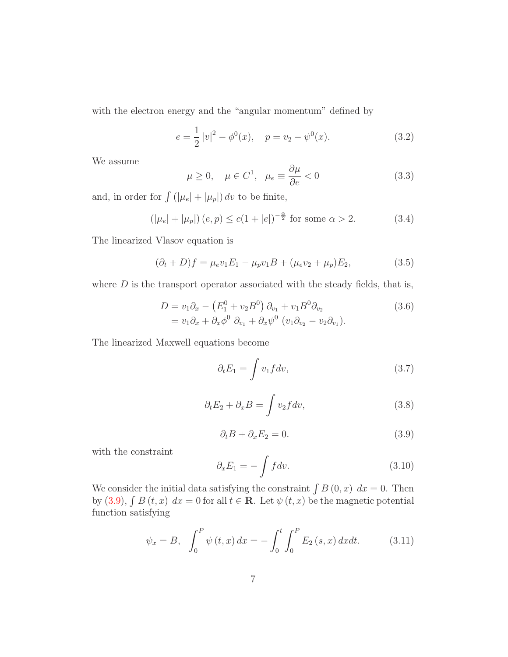with the electron energy and the "angular momentum" defined by

$$
e = \frac{1}{2} |v|^2 - \phi^0(x), \quad p = v_2 - \psi^0(x). \tag{3.2}
$$

We assume

<span id="page-6-4"></span>
$$
\mu \ge 0, \quad \mu \in C^1, \quad \mu_e \equiv \frac{\partial \mu}{\partial e} < 0 \tag{3.3}
$$

and, in order for  $\int (|\mu_e| + |\mu_p|) dv$  to be finite,

$$
(|\mu_e| + |\mu_p|) (e, p) \le c(1 + |e|)^{-\frac{\alpha}{2}} \text{ for some } \alpha > 2.
$$
 (3.4)

The linearized Vlasov equation is

<span id="page-6-3"></span>
$$
(\partial_t + D)f = \mu_e v_1 E_1 - \mu_p v_1 B + (\mu_e v_2 + \mu_p) E_2,
$$
\n(3.5)

where  $D$  is the transport operator associated with the steady fields, that is,

$$
D = v_1 \partial_x - \left(E_1^0 + v_2 B^0\right) \partial_{v_1} + v_1 B^0 \partial_{v_2}
$$
  
=  $v_1 \partial_x + \partial_x \phi^0 \partial_{v_1} + \partial_x \psi^0 \left(v_1 \partial_{v_2} - v_2 \partial_{v_1}\right).$  (3.6)

The linearized Maxwell equations become

<span id="page-6-1"></span>
$$
\partial_t E_1 = \int v_1 f dv,\tag{3.7}
$$

$$
\partial_t E_2 + \partial_x B = \int v_2 f dv, \qquad (3.8)
$$

$$
\partial_t B + \partial_x E_2 = 0. \tag{3.9}
$$

<span id="page-6-2"></span>with the constraint

<span id="page-6-0"></span>
$$
\partial_x E_1 = -\int f dv. \tag{3.10}
$$

We consider the initial data satisfying the constraint  $\int B(0, x) dx = 0$ . Then by [\(3.9\)](#page-6-2),  $\int B(t, x) dx = 0$  for all  $t \in \mathbb{R}$ . Let  $\psi(t, x)$  be the magnetic potential function satisfying

<span id="page-6-5"></span>
$$
\psi_x = B, \quad \int_0^P \psi(t, x) \, dx = -\int_0^t \int_0^P E_2(s, x) \, dx \, dt. \tag{3.11}
$$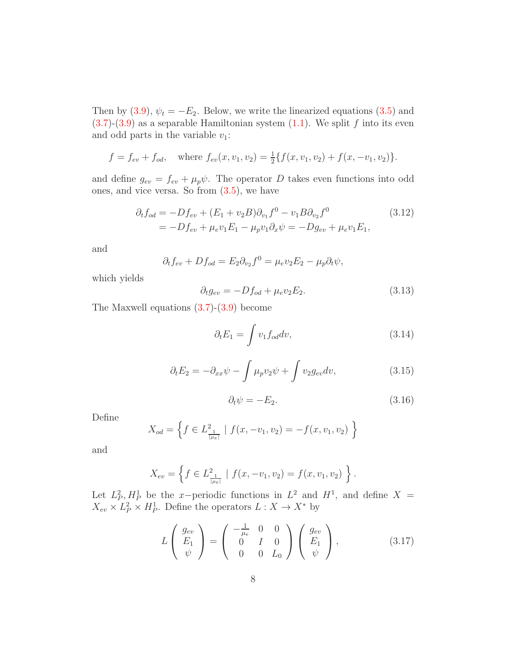Then by [\(3.9\)](#page-6-2),  $\psi_t = -E_2$ . Below, we write the linearized equations [\(3.5\)](#page-6-3) and  $(3.7)-(3.9)$  $(3.7)-(3.9)$  $(3.7)-(3.9)$  as a separable Hamiltonian system  $(1.1)$ . We split f into its even and odd parts in the variable  $v_1$ :

$$
f = f_{ev} + f_{od}
$$
, where  $f_{ev}(x, v_1, v_2) = \frac{1}{2} \{f(x, v_1, v_2) + f(x, -v_1, v_2)\}.$ 

and define  $g_{ev} = f_{ev} + \mu_p \psi$ . The operator D takes even functions into odd ones, and vice versa. So from  $(3.5)$ , we have

$$
\partial_t f_{od} = -Df_{ev} + (E_1 + v_2 B)\partial_{v_1} f^0 - v_1 B \partial_{v_2} f^0
$$
\n
$$
= -Df_{ev} + \mu_e v_1 E_1 - \mu_p v_1 \partial_x \psi = -Dg_{ev} + \mu_e v_1 E_1,
$$
\n(3.12)

and

<span id="page-7-3"></span>
$$
\partial_t f_{ev} + D f_{od} = E_2 \partial_{v_2} f^0 = \mu_e v_2 E_2 - \mu_p \partial_t \psi,
$$

which yields

<span id="page-7-0"></span>
$$
\partial_t g_{ev} = -Df_{od} + \mu_e v_2 E_2. \tag{3.13}
$$

The Maxwell equations  $(3.7)-(3.9)$  $(3.7)-(3.9)$  become

$$
\partial_t E_1 = \int v_1 f_{od} dv,\tag{3.14}
$$

$$
\partial_t E_2 = -\partial_{xx}\psi - \int \mu_p v_2 \psi + \int v_2 g_{ev} dv,\tag{3.15}
$$

<span id="page-7-2"></span>
$$
\partial_t \psi = -E_2. \tag{3.16}
$$

<span id="page-7-1"></span>Define

$$
X_{od} = \left\{ f \in L^2_{\frac{1}{|\mu e|}} \mid f(x, -v_1, v_2) = -f(x, v_1, v_2) \right\}
$$

and

$$
X_{ev} = \left\{ f \in L^2_{\frac{1}{|\mu_e|}} \mid f(x, -v_1, v_2) = f(x, v_1, v_2) \right\}.
$$

Let  $L_P^2$ ,  $H_P^1$  be the x-periodic functions in  $L^2$  and  $H^1$ , and define  $X =$  $X_{ev} \times L_P^2 \times H_P^1$ . Define the operators  $L: X \to X^*$  by

$$
L\begin{pmatrix} g_{ev} \\ E_1 \\ \psi \end{pmatrix} = \begin{pmatrix} -\frac{1}{\mu_e} & 0 & 0 \\ 0 & I & 0 \\ 0 & 0 & L_0 \end{pmatrix} \begin{pmatrix} g_{ev} \\ E_1 \\ \psi \end{pmatrix}, \qquad (3.17)
$$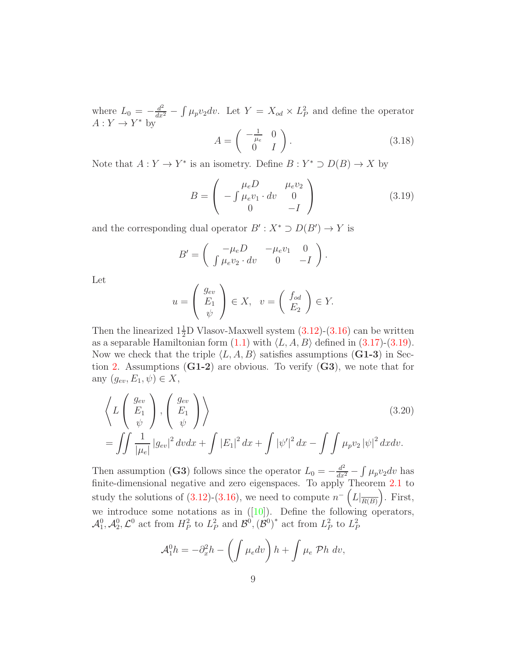where  $L_0 = -\frac{d^2}{dx^2} - \int \mu_p v_2 dv$ . Let  $Y = X_{od} \times L_P^2$  and define the operator  $A: Y \to Y^*$  by

<span id="page-8-0"></span>
$$
A = \begin{pmatrix} -\frac{1}{\mu_e} & 0\\ 0 & I \end{pmatrix}.
$$
 (3.18)

Note that  $A: Y \to Y^*$  is an isometry. Define  $B: Y^* \supset D(B) \to X$  by

$$
B = \begin{pmatrix} \mu_e D & \mu_e v_2 \\ -\int \mu_e v_1 \cdot dv & 0 \\ 0 & -I \end{pmatrix}
$$
 (3.19)

and the corresponding dual operator  $B': X^* \supset D(B') \to Y$  is

$$
B' = \begin{pmatrix} -\mu_e D & -\mu_e v_1 & 0 \\ \int \mu_e v_2 \cdot dv & 0 & -I \end{pmatrix}.
$$

Let

<span id="page-8-1"></span>
$$
u = \begin{pmatrix} g_{ev} \\ E_1 \\ \psi \end{pmatrix} \in X, \quad v = \begin{pmatrix} f_{od} \\ E_2 \end{pmatrix} \in Y.
$$

Then the linearized  $1\frac{1}{2}D$  Vlasov-Maxwell system  $(3.12)-(3.16)$  $(3.12)-(3.16)$  can be written as a separable Hamiltonian form  $(1.1)$  with  $\langle L, A, B \rangle$  defined in  $(3.17)-(3.19)$  $(3.17)-(3.19)$ . Now we check that the triple  $\langle L, A, B \rangle$  satisfies assumptions (G1-3) in Sec-tion [2.](#page-3-0) Assumptions  $(G1-2)$  are obvious. To verify  $(G3)$ , we note that for any  $(g_{ev}, E_1, \psi) \in X$ ,

$$
\left\langle L\begin{pmatrix} g_{ev} \\ E_1 \\ \psi \end{pmatrix}, \begin{pmatrix} g_{ev} \\ E_1 \\ \psi \end{pmatrix} \right\rangle
$$
\n
$$
= \iint \frac{1}{|\mu_e|} |g_{ev}|^2 dv dx + \int |E_1|^2 dx + \int |\psi'|^2 dx - \int \int \mu_p v_2 |\psi|^2 dx dv.
$$
\n(3.20)

Then assumption (G3) follows since the operator  $L_0 = -\frac{d^2}{dx^2} - \int \mu_p v_2 dv$  has finite-dimensional negative and zero eigenspaces. To apply Theorem [2.1](#page-4-0) to study the solutions of  $(3.12)-(3.16)$  $(3.12)-(3.16)$ , we need to compute  $n^{-}\left(L|_{\overline{R(B)}}\right)$ . First, we introduce some notations as in  $([10])$  $([10])$  $([10])$ . Define the following operators,  $\mathcal{A}_1^0, \mathcal{A}_2^0, \mathcal{L}^0$  act from  $H_P^2$  to  $L_P^2$  and  $\mathcal{B}^0, (\mathcal{B}^0)^*$  act from  $L_P^2$  to  $L_P^2$ 

$$
\mathcal{A}_1^0 h = -\partial_x^2 h - \left( \int \mu_e dv \right) h + \int \mu_e \ \mathcal{P} h \ dv,
$$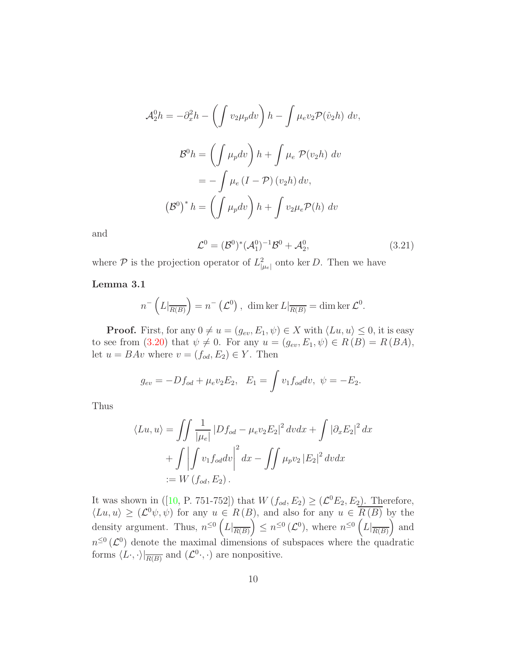$$
\mathcal{A}_2^0 h = -\partial_x^2 h - \left( \int v_2 \mu_p dv \right) h - \int \mu_e v_2 \mathcal{P}(\hat{v}_2 h) dv,
$$
  

$$
\mathcal{B}^0 h = \left( \int \mu_p dv \right) h + \int \mu_e \mathcal{P}(v_2 h) dv
$$
  

$$
= - \int \mu_e (I - \mathcal{P}) (v_2 h) dv,
$$
  

$$
(\mathcal{B}^0)^* h = \left( \int \mu_p dv \right) h + \int v_2 \mu_e \mathcal{P}(h) dv
$$

<span id="page-9-0"></span>and

$$
\mathcal{L}^0 = (\mathcal{B}^0)^* (\mathcal{A}_1^0)^{-1} \mathcal{B}^0 + \mathcal{A}_2^0, \tag{3.21}
$$

<span id="page-9-1"></span>where  $P$  is the projection operator of  $L^2_{\mu_e}$  onto ker D. Then we have

#### Lemma 3.1

$$
n^{-}\left(L|_{\overline{R(B)}}\right)=n^{-}\left(\mathcal{L}^{0}\right), \dim \ker L|_{\overline{R(B)}}=\dim \ker \mathcal{L}^{0}.
$$

**Proof.** First, for any  $0 \neq u = (g_{ev}, E_1, \psi) \in X$  with  $\langle Lu, u \rangle \leq 0$ , it is easy to see from [\(3.20\)](#page-8-1) that  $\psi \neq 0$ . For any  $u = (g_{ev}, E_1, \psi) \in R(B) = R(BA)$ , let  $u = BAv$  where  $v = (f_{od}, E_2) \in Y$ . Then

$$
g_{ev} = -Df_{od} + \mu_e v_2 E_2, \quad E_1 = \int v_1 f_{od} dv, \quad \psi = -E_2.
$$

Thus

$$
\langle Lu, u \rangle = \iint \frac{1}{|\mu_e|} |Df_{od} - \mu_e v_2 E_2|^2 dv dx + \int |\partial_x E_2|^2 dx
$$

$$
+ \iint v_1 f_{od} dv \Big|^2 dx - \iint \mu_p v_2 |E_2|^2 dv dx
$$

$$
:= W(f_{od}, E_2).
$$

It was shown in ([\[10,](#page-22-0) P. 751-752]) that  $W(f_{od}, E_2) \geq (\mathcal{L}^0 E_2, E_2)$ . Therefore,  $\langle Lu, u \rangle \geq (\mathcal{L}^0 \psi, \psi)$  for any  $u \in R(B)$ , and also for any  $u \in \overline{R(B)}$  by the density argument. Thus,  $n^{\leq 0} \left( L \vert_{\overline{R(B)}} \right) \leq n^{\leq 0} \left( L^0 \right)$ , where  $n^{\leq 0} \left( L \vert_{\overline{R(B)}} \right)$  and  $n^{\leq 0}$  ( $\mathcal{L}^0$ ) denote the maximal dimensions of subspaces where the quadratic forms  $\langle L \cdot, \cdot \rangle|_{\overline{R(B)}}$  and  $(\mathcal{L}^0 \cdot, \cdot)$  are nonpositive.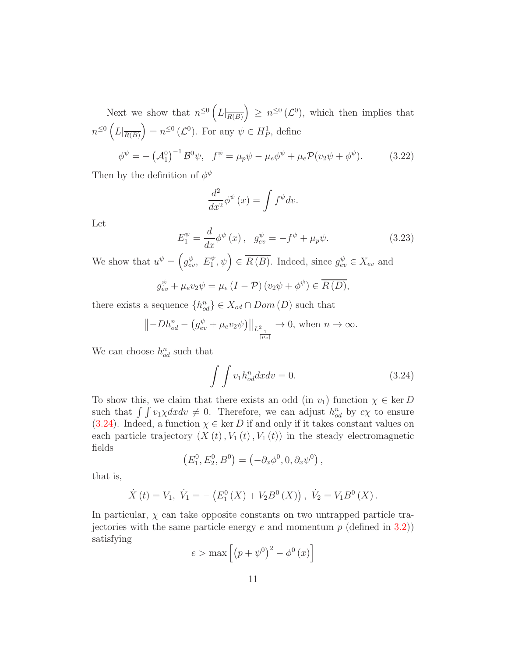Next we show that  $n^{\leq 0} \left( L \big|_{\overline{R(B)}} \right) \geq n^{\leq 0} \left( \mathcal{L}^0 \right)$ , which then implies that  $n^{\leq 0} \left( L \vert_{\overline{R(B)}} \right) = n^{\leq 0} \left( \mathcal{L}^0 \right)$ . For any  $\psi \in H_P^1$ , define  $\phi^\psi = -\left(\mathcal{A}_1^0\right)^{-1}\mathcal{B}^0\psi,\;\; f^\psi = \mu_p\psi - \mu_e\phi^\psi + \mu_e\mathcal{P}(v_2\psi + \phi^\psi)$  $(3.22)$ 

Then by the definition of  $\phi^{\psi}$ 

<span id="page-10-1"></span>
$$
\frac{d^2}{dx^2}\phi^{\psi}(x) = \int f^{\psi}dv.
$$

<span id="page-10-2"></span>Let

$$
E_1^{\psi} = \frac{d}{dx} \phi^{\psi}(x), \quad g_{ev}^{\psi} = -f^{\psi} + \mu_p \psi.
$$
 (3.23)

We show that  $u^{\psi} = (g_{ev}^{\psi}, E_1^{\psi}, \psi) \in \overline{R(B)}$ . Indeed, since  $g_{ev}^{\psi} \in X_{ev}$  and

$$
g_{ev}^{\psi} + \mu_e v_2 \psi = \mu_e \left( I - \mathcal{P} \right) \left( v_2 \psi + \phi^{\psi} \right) \in \overline{R(D)},
$$

there exists a sequence  $\{h_{od}^n\} \in X_{od} \cap Dom(D)$  such that

$$
||-Dh_{od}^n - (g_{ev}^{\psi} + \mu_e v_2 \psi)||_{L^2_{\frac{1}{|\mu_e|}}} \to 0, \text{ when } n \to \infty.
$$

We can choose  $h_{od}^n$  such that

<span id="page-10-0"></span>
$$
\int \int v_1 h_{od}^n dx dv = 0. \tag{3.24}
$$

To show this, we claim that there exists an odd (in  $v_1$ ) function  $\chi \in \text{ker } D$ such that  $\int \int v_1 \chi dx dv \neq 0$ . Therefore, we can adjust  $h_{od}^n$  by  $c\chi$  to ensure [\(3.24\)](#page-10-0). Indeed, a function  $\chi \in \text{ker } D$  if and only if it takes constant values on each particle trajectory  $(X(t), V_1(t), V_1(t))$  in the steady electromagnetic fields

$$
(E_1^0, E_2^0, B^0) = (-\partial_x \phi^0, 0, \partial_x \psi^0),
$$

that is,

$$
\dot{X}(t) = V_1, \ \dot{V}_1 = -\left(E_1^0(X) + V_2B^0(X)\right), \ \dot{V}_2 = V_1B^0(X).
$$

In particular,  $\chi$  can take opposite constants on two untrapped particle trajectories with the same particle energy e and momentum  $p$  (defined in [3.2\)](#page-6-4)) satisfying

$$
e > \max\left[\left(p + \psi^0\right)^2 - \phi^0(x)\right]
$$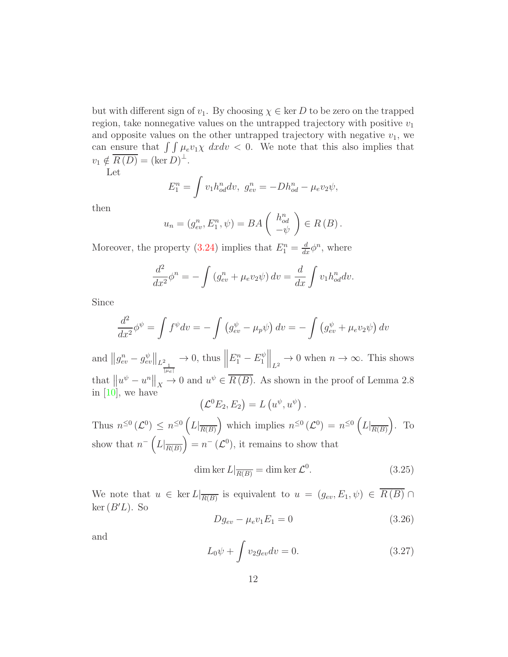but with different sign of  $v_1$ . By choosing  $\chi \in \text{ker } D$  to be zero on the trapped region, take nonnegative values on the untrapped trajectory with positive  $v_1$ and opposite values on the other untrapped trajectory with negative  $v_1$ , we can ensure that  $\int \int \mu_e v_1 \chi \ dx dv < 0$ . We note that this also implies that  $v_1 \notin \overline{R(D)} = (\ker D)^{\perp}.$ 

Let

$$
E_1^n = \int v_1 h_{od}^n dv, \ g_{ev}^n = -Dh_{od}^n - \mu_e v_2 \psi,
$$

then

$$
u_n = (g_{ev}^n, E_1^n, \psi) = BA \begin{pmatrix} h_{od}^n \\ -\psi \end{pmatrix} \in R(B).
$$

Moreover, the property [\(3.24\)](#page-10-0) implies that  $E_1^n = \frac{d}{dx} \phi^n$ , where

$$
\frac{d^2}{dx^2}\phi^n = -\int \left(g_{ev}^n + \mu_e v_2 \psi\right) dv = \frac{d}{dx} \int v_1 h_{od}^n dv.
$$

Since

$$
\frac{d^2}{dx^2}\phi^{\psi} = \int f^{\psi}dv = -\int \left(g_{ev}^{\psi} - \mu_p\psi\right)dv = -\int \left(g_{ev}^{\psi} + \mu_e v_2\psi\right)dv
$$

and  $||g_{ev}^n - g_{ev}^{\psi}||_{L^2_{\frac{1}{||\mu_e||}}}$  $\rightarrow$  0, thus  $\parallel$  $E_1^n - E_1^{\psi}$  $\begin{aligned} \left\| \begin{matrix} \psi \\ 1 \end{matrix} \right\|_{L^2} \to 0 \text{ when } n \to \infty. \text{ This shows} \end{aligned}$ that  $\left\| u^{\psi} - u^{n} \right\|_{X} \to 0$  and  $u^{\psi} \in \overline{R(B)}$ . As shown in the proof of Lemma 2.8 in [\[10\]](#page-22-0), we have .

$$
(\mathcal{L}^0 E_2, E_2) = L(u^{\psi}, u^{\psi})
$$

Thus  $n^{\leq 0}(\mathcal{L}^0) \leq n^{\leq 0}(\mathcal{L}|_{\overline{R(B)}})$  which implies  $n^{\leq 0}(\mathcal{L}^0) = n^{\leq 0}(\mathcal{L}|_{\overline{R(B)}})$ . To show that  $n^{-}\left(L|_{\overline{R(B)}}\right)=n^{-}\left(\mathcal{L}^{0}\right),$  it remains to show that

<span id="page-11-0"></span>
$$
\dim \ker L|_{\overline{R(B)}} = \dim \ker \mathcal{L}^0. \tag{3.25}
$$

We note that  $u \in \ker L|_{\overline{R(B)}}$  is equivalent to  $u = (g_{ev}, E_1, \psi) \in R(B) \cap \mathbb{R}$  $\ker(B'L)$ . So

$$
Dg_{ev} - \mu_e v_1 E_1 = 0 \tag{3.26}
$$

<span id="page-11-1"></span>and

$$
L_0 \psi + \int v_2 g_{ev} dv = 0. \qquad (3.27)
$$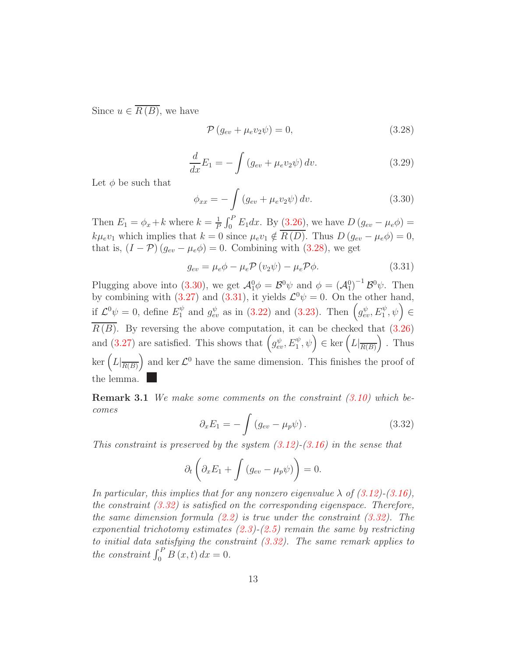Since  $u \in \overline{R(B)}$ , we have

<span id="page-12-1"></span>
$$
\mathcal{P}\left(g_{ev} + \mu_e v_2 \psi\right) = 0,\tag{3.28}
$$

$$
\frac{d}{dx}E_1 = -\int \left(g_{ev} + \mu_e v_2 \psi\right) dv.
$$
\n(3.29)

Let  $\phi$  be such that

<span id="page-12-3"></span><span id="page-12-2"></span>
$$
\phi_{xx} = -\int \left(g_{ev} + \mu_e v_2 \psi\right) dv.
$$
\n(3.30)

Then  $E_1 = \phi_x + k$  where  $k = \frac{1}{k}$  $\frac{1}{P} \int_0^P E_1 dx$ . By [\(3.26\)](#page-11-0), we have  $D (g_{ev} - \mu_e \phi) =$  $k\mu_e v_1$  which implies that  $k = 0$  since  $\mu_e v_1 \notin \overline{R(D)}$ . Thus  $D(g_{ev} - \mu_e \phi) = 0$ , that is,  $(I - \mathcal{P}) (g_{ev} - \mu_e \phi) = 0$ . Combining with [\(3.28\)](#page-12-1), we get

$$
g_{ev} = \mu_e \phi - \mu_e \mathcal{P} (v_2 \psi) - \mu_e \mathcal{P} \phi.
$$
 (3.31)

Plugging above into [\(3.30\)](#page-12-2), we get  $\mathcal{A}_1^0 \phi = \mathcal{B}^0 \psi$  and  $\phi = (\mathcal{A}_1^0)^{-1} \mathcal{B}^0 \psi$ . Then by combining with [\(3.27\)](#page-11-1) and [\(3.31\)](#page-12-3), it yields  $\mathcal{L}^0 \psi = 0$ . On the other hand, if  $\mathcal{L}^0\psi = 0$ , define  $E_1^{\psi}$  and  $g_{ev}^{\psi}$  as in [\(3.22\)](#page-10-1) and [\(3.23\)](#page-10-2). Then  $(g_{ev}^{\psi}, E_1^{\psi}, \psi) \in$  $\overline{R(B)}$ . By reversing the above computation, it can be checked that [\(3.26\)](#page-11-0) and [\(3.27\)](#page-11-1) are satisfied. This shows that  $(g_{ev}^{\psi}, E_1^{\psi}, \psi) \in \text{ker} (L|_{\overline{R(B)}})$ . Thus ker  $(L|_{\overline{R(B)}})$  and ker  $\mathcal{L}^0$  have the same dimension. This finishes the proof of the lemma.

<span id="page-12-4"></span><span id="page-12-0"></span>Remark 3.1 *We make some comments on the constraint [\(3.10\)](#page-6-0) which becomes*

$$
\partial_x E_1 = -\int \left(g_{ev} - \mu_p \psi\right). \tag{3.32}
$$

*This constraint is preserved by the system [\(3.12\)](#page-7-0)-[\(3.16\)](#page-7-1) in the sense that*

$$
\partial_t \left( \partial_x E_1 + \int \left( g_{ev} - \mu_p \psi \right) \right) = 0.
$$

*In particular, this implies that for any nonzero eigenvalue*  $\lambda$  *of* [\(3.12\)](#page-7-0)–[\(3.16\)](#page-7-1). *the constraint [\(3.32\)](#page-12-4) is satisfied on the corresponding eigenspace. Therefore, the same dimension formula [\(2.2\)](#page-4-3) is true under the constraint [\(3.32\)](#page-12-4). The exponential trichotomy estimates [\(2.3\)](#page-4-1)-[\(2.5\)](#page-4-2) remain the same by restricting to initial data satisfying the constraint [\(3.32\)](#page-12-4). The same remark applies to* the constraint  $\int_0^P B(x,t) dx = 0$ .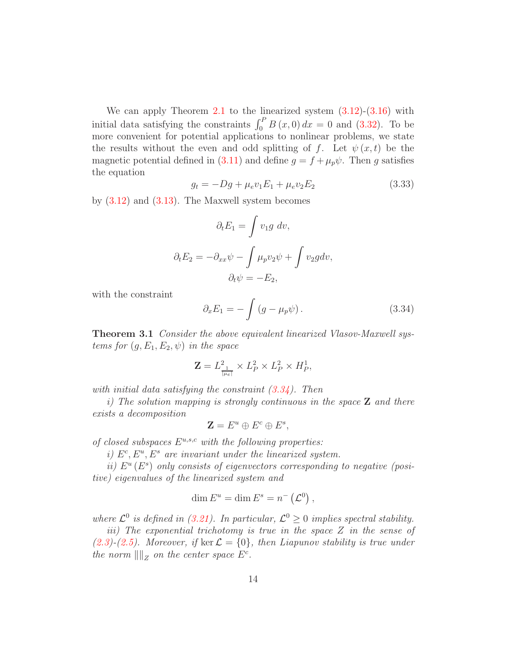We can apply Theorem [2.1](#page-4-0) to the linearized system  $(3.12)-(3.16)$  $(3.12)-(3.16)$  with initial data satisfying the constraints  $\int_0^P B(x,0) dx = 0$  and [\(3.32\)](#page-12-4). To be more convenient for potential applications to nonlinear problems, we state the results without the even and odd splitting of f. Let  $\psi(x,t)$  be the magnetic potential defined in [\(3.11\)](#page-6-5) and define  $g = f + \mu_p \psi$ . Then g satisfies the equation

$$
g_t = -Dg + \mu_e v_1 E_1 + \mu_e v_2 E_2 \tag{3.33}
$$

by  $(3.12)$  and  $(3.13)$ . The Maxwell system becomes

$$
\partial_t E_1 = \int v_1 g \, dv,
$$

$$
\partial_t E_2 = -\partial_{xx} \psi - \int \mu_p v_2 \psi + \int v_2 g dv,
$$

$$
\partial_t \psi = -E_2,
$$

with the constraint

<span id="page-13-0"></span>
$$
\partial_x E_1 = -\int \left(g - \mu_p \psi\right). \tag{3.34}
$$

Theorem 3.1 *Consider the above equivalent linearized Vlasov-Maxwell systems for*  $(g, E_1, E_2, \psi)$  *in the space* 

$$
\mathbf{Z} = L_{\frac{1}{|\mu e|}}^2 \times L_P^2 \times L_P^2 \times H_P^1,
$$

*with initial data satisfying the constraint [\(3.34\)](#page-13-0). Then*

*i) The solution mapping is strongly continuous in the space* Z *and there exists a decomposition*

$$
\mathbf{Z} = E^u \oplus E^c \oplus E^s,
$$

*of closed subspaces*  $E^{u,s,c}$  *with the following properties:* 

*i)*  $E^c, E^u, E^s$  are invariant under the linearized system.

*ii*)  $E^u(E^s)$  only consists of eigenvectors corresponding to negative (posi*tive) eigenvalues of the linearized system and*

$$
\dim E^u = \dim E^s = n^-\left(\mathcal{L}^0\right),
$$

where  $\mathcal{L}^0$  is defined in [\(3.21\)](#page-9-0). In particular,  $\mathcal{L}^0 \geq 0$  implies spectral stability.

*iii) The exponential trichotomy is true in the space* Z *in the sense of*  $(2.3)$ <sup>2</sup> $(2.5)$ *. Moreover, if* ker  $\mathcal{L} = \{0\}$ *, then Liapunov stability is true under the norm*  $\|\|_Z$  *on the center space*  $E^c$ *.*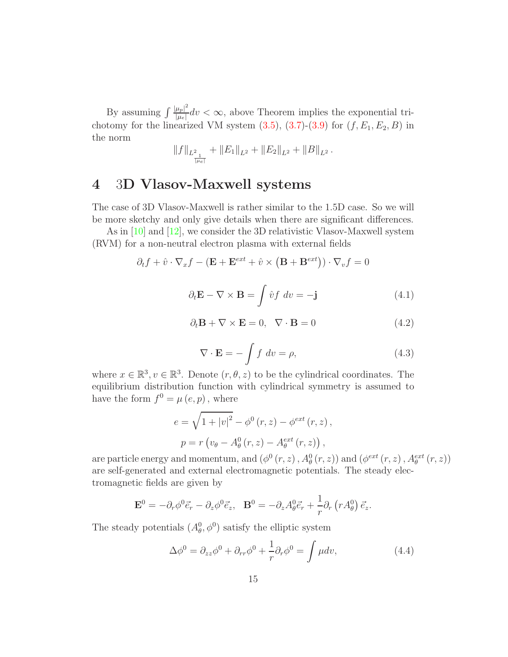By assuming  $\int \frac{|\mu_p|^2}{|\mu_p|}$  $\frac{\mu_{p}}{|\mu_{e}|}dv < \infty$ , above Theorem implies the exponential trichotomy for the linearized VM system  $(3.5)$ ,  $(3.7)-(3.9)$  $(3.7)-(3.9)$  for  $(f, E_1, E_2, B)$  in the norm

$$
||f||_{L^2_{\frac{1}{|\mu_e|}}}+||E_1||_{L^2}+||E_2||_{L^2}+||B||_{L^2}.
$$

# 4 3D Vlasov-Maxwell systems

The case of 3D Vlasov-Maxwell is rather similar to the 1.5D case. So we will be more sketchy and only give details when there are significant differences.

<span id="page-14-1"></span>As in [\[10\]](#page-22-0) and [\[12\]](#page-22-1), we consider the 3D relativistic Vlasov-Maxwell system (RVM) for a non-neutral electron plasma with external fields

$$
\partial_t f + \hat{v} \cdot \nabla_x f - (\mathbf{E} + \mathbf{E}^{ext} + \hat{v} \times (\mathbf{B} + \mathbf{B}^{ext})) \cdot \nabla_v f = 0
$$

$$
\partial_t \mathbf{E} - \nabla \times \mathbf{B} = \int \hat{v} f \, dv = -\mathbf{j} \tag{4.1}
$$

$$
\partial_t \mathbf{B} + \nabla \times \mathbf{E} = 0, \quad \nabla \cdot \mathbf{B} = 0 \tag{4.2}
$$

$$
\nabla \cdot \mathbf{E} = -\int f \, dv = \rho,\tag{4.3}
$$

<span id="page-14-0"></span>where  $x \in \mathbb{R}^3$ ,  $v \in \mathbb{R}^3$ . Denote  $(r, \theta, z)$  to be the cylindrical coordinates. The equilibrium distribution function with cylindrical symmetry is assumed to have the form  $f^0 = \mu(e, p)$ , where

$$
e = \sqrt{1 + |v|^2} - \phi^0(r, z) - \phi^{ext}(r, z),
$$
  

$$
p = r (v_{\theta} - A_{\theta}^0(r, z) - A_{\theta}^{ext}(r, z)),
$$

are particle energy and momentum, and  $(\phi^0(r, z), A_\theta^0(r, z))$  and  $(\phi^{ext}(r, z), A_\theta^{ext}(r, z))$ are self-generated and external electromagnetic potentials. The steady electromagnetic fields are given by

$$
\mathbf{E}^0 = -\partial_r \phi^0 \vec{e}_r - \partial_z \phi^0 \vec{e}_z, \quad \mathbf{B}^0 = -\partial_z A^0_\theta \vec{e}_r + \frac{1}{r} \partial_r (r A^0_\theta) \vec{e}_z.
$$

The steady potentials  $(A_\theta^0, \phi^0)$  satisfy the elliptic system

<span id="page-14-2"></span>
$$
\Delta \phi^0 = \partial_{zz} \phi^0 + \partial_{rr} \phi^0 + \frac{1}{r} \partial_r \phi^0 = \int \mu dv, \qquad (4.4)
$$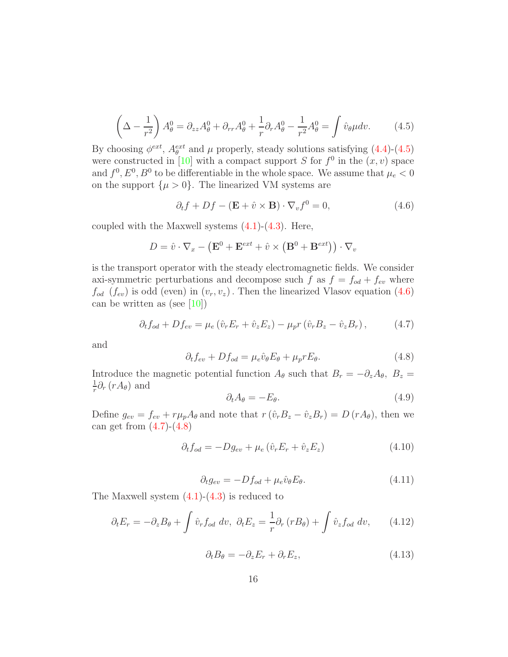<span id="page-15-0"></span>
$$
\left(\Delta - \frac{1}{r^2}\right) A_\theta^0 = \partial_{zz} A_\theta^0 + \partial_{rr} A_\theta^0 + \frac{1}{r} \partial_r A_\theta^0 - \frac{1}{r^2} A_\theta^0 = \int \hat{v}_\theta \mu dv. \tag{4.5}
$$

By choosing  $\phi^{ext}$ ,  $A_{\theta}^{ext}$  and  $\mu$  properly, steady solutions satisfying [\(4.4\)](#page-14-2)-[\(4.5\)](#page-15-0) were constructed in [\[10\]](#page-22-0) with a compact support S for  $f^0$  in the  $(x, v)$  space and  $f^0, E^0, B^0$  to be differentiable in the whole space. We assume that  $\mu_e < 0$ on the support  $\{\mu > 0\}$ . The linearized VM systems are

<span id="page-15-1"></span>
$$
\partial_t f + Df - (\mathbf{E} + \hat{v} \times \mathbf{B}) \cdot \nabla_v f^0 = 0,
$$
\n(4.6)

coupled with the Maxwell systems  $(4.1)-(4.3)$  $(4.1)-(4.3)$ . Here,

$$
D = \hat{v} \cdot \nabla_x - (\mathbf{E}^0 + \mathbf{E}^{ext} + \hat{v} \times (\mathbf{B}^0 + \mathbf{B}^{ext})) \cdot \nabla_v
$$

is the transport operator with the steady electromagnetic fields. We consider axi-symmetric perturbations and decompose such f as  $f = f_{od} + f_{ev}$  where  $f_{od}$  ( $f_{ev}$ ) is odd (even) in  $(v_r, v_z)$ . Then the linearized Vlasov equation [\(4.6\)](#page-15-1) can be written as (see  $[10]$ )

$$
\partial_t f_{od} + D f_{ev} = \mu_e \left( \hat{v}_r E_r + \hat{v}_z E_z \right) - \mu_p r \left( \hat{v}_r B_z - \hat{v}_z B_r \right),\tag{4.7}
$$

<span id="page-15-3"></span>and

<span id="page-15-4"></span><span id="page-15-2"></span>
$$
\partial_t f_{ev} + D f_{od} = \mu_e \hat{v}_\theta E_\theta + \mu_p r E_\theta. \tag{4.8}
$$

Introduce the magnetic potential function  $A_{\theta}$  such that  $B_r = -\partial_z A_{\theta}$ ,  $B_z =$ 1  $\frac{1}{r}\partial_r (rA_\theta)$  and

$$
\partial_t A_\theta = -E_\theta. \tag{4.9}
$$

Define  $g_{ev} = f_{ev} + r\mu_p A_\theta$  and note that  $r(\hat{v}_rB_z - \hat{v}_zB_r) = D(rA_\theta)$ , then we can get from  $(4.7)-(4.8)$  $(4.7)-(4.8)$ 

$$
\partial_t f_{od} = -Dg_{ev} + \mu_e \left( \hat{v}_r E_r + \hat{v}_z E_z \right) \tag{4.10}
$$

$$
\partial_t g_{ev} = -Df_{od} + \mu_e \hat{v}_\theta E_\theta. \tag{4.11}
$$

The Maxwell system  $(4.1)-(4.3)$  $(4.1)-(4.3)$  is reduced to

$$
\partial_t E_r = -\partial_z B_\theta + \int \hat{v}_r f_{od} dv, \ \partial_t E_z = \frac{1}{r} \partial_r (r B_\theta) + \int \hat{v}_z f_{od} dv, \qquad (4.12)
$$

$$
\partial_t B_\theta = -\partial_z E_r + \partial_r E_z,\tag{4.13}
$$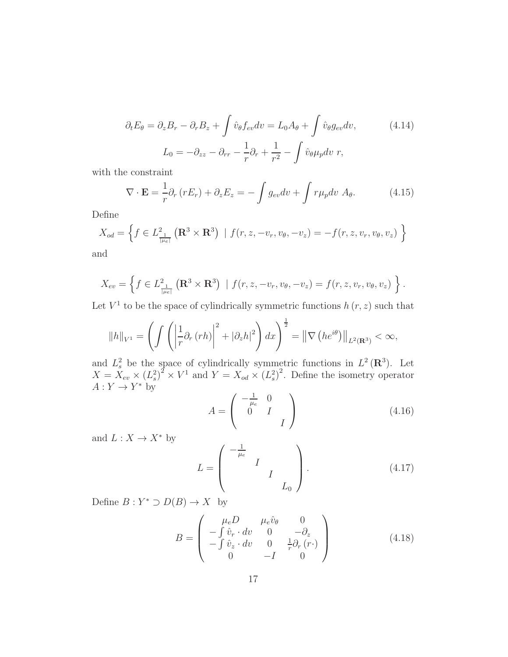<span id="page-16-0"></span>
$$
\partial_t E_{\theta} = \partial_z B_r - \partial_r B_z + \int \hat{v}_{\theta} f_{ev} dv = L_0 A_{\theta} + \int \hat{v}_{\theta} g_{ev} dv, \qquad (4.14)
$$

$$
L_0 = -\partial_{zz} - \partial_{rr} - \frac{1}{r} \partial_r + \frac{1}{r^2} - \int \hat{v}_{\theta} \mu_p dv \ r,
$$

with the constraint

$$
\nabla \cdot \mathbf{E} = \frac{1}{r} \partial_r (r E_r) + \partial_z E_z = -\int g_{ev} dv + \int r \mu_p dv A_\theta.
$$
 (4.15)

Define

$$
X_{od} = \left\{ f \in L^2_{\frac{1}{|\mu e|}} \left( \mathbf{R}^3 \times \mathbf{R}^3 \right) \mid f(r, z, -v_r, v_\theta, -v_z) = -f(r, z, v_r, v_\theta, v_z) \right\}
$$

and

$$
X_{ev} = \left\{ f \in L^2_{\frac{1}{|\mu_e|}}\left( \mathbf{R}^3 \times \mathbf{R}^3 \right) \mid f(r, z, -v_r, v_\theta, -v_z) = f(r, z, v_r, v_\theta, v_z) \right\}.
$$

Let  $V^1$  to be the space of cylindrically symmetric functions  $h(r, z)$  such that

$$
||h||_{V^{1}} = \left(\int \left(\left|\frac{1}{r}\partial_{r}(rh)\right|^{2} + |\partial_{z}h|^{2}\right)dx\right)^{\frac{1}{2}} = \left\|\nabla\left(he^{i\theta}\right)\right\|_{L^{2}(\mathbf{R}^{3})} < \infty,
$$

and  $L_s^2$  be the space of cylindrically symmetric functions in  $L^2(\mathbf{R}^3)$ . Let  $X = X_{ev} \times (L_s^2)^2 \times V^1$  and  $Y = X_{od} \times (L_s^2)^2$ . Define the isometry operator  $A: Y \to Y^*$  by

<span id="page-16-1"></span>
$$
A = \begin{pmatrix} -\frac{1}{\mu_e} & 0\\ 0 & I\\ & & I \end{pmatrix} \tag{4.16}
$$

and  $L: X \rightarrow X^*$  by

<span id="page-16-3"></span>
$$
L = \begin{pmatrix} -\frac{1}{\mu_e} & & & \\ & I & & \\ & & I & \\ & & & L_0 \end{pmatrix} .
$$
 (4.17)

Define  $B: Y^* \supset D(B) \to X$  by

<span id="page-16-2"></span>
$$
B = \begin{pmatrix} \mu_e D & \mu_e \hat{v}_\theta & 0 \\ -\int \hat{v}_r \cdot dv & 0 & -\partial_z \\ -\int \hat{v}_z \cdot dv & 0 & \frac{1}{r} \partial_r (r \cdot) \\ 0 & -I & 0 \end{pmatrix}
$$
(4.18)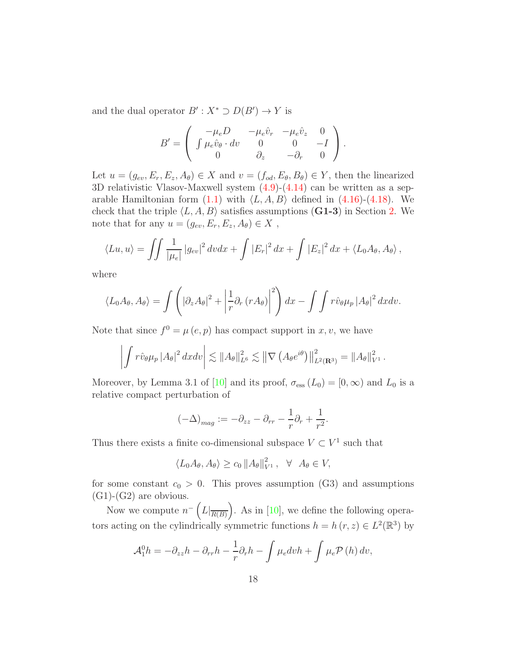and the dual operator  $B': X^* \supset D(B') \to Y$  is

$$
B' = \begin{pmatrix} -\mu_e D & -\mu_e \hat{v}_r & -\mu_e \hat{v}_z & 0 \\ \int \mu_e \hat{v}_\theta \cdot dv & 0 & 0 & -I \\ 0 & \partial_z & -\partial_r & 0 \end{pmatrix}.
$$

Let  $u = (g_{ev}, E_r, E_z, A_\theta) \in X$  and  $v = (f_{od}, E_\theta, B_\theta) \in Y$ , then the linearized 3D relativistic Vlasov-Maxwell system [\(4.9\)](#page-15-4)-[\(4.14\)](#page-16-0) can be written as a separable Hamiltonian form  $(1.1)$  with  $\langle L, A, B \rangle$  defined in  $(4.16)-(4.18)$  $(4.16)-(4.18)$ . We check that the triple  $\langle L, A, B \rangle$  satisfies assumptions (G1-3) in Section [2.](#page-3-0) We note that for any  $u = (g_{ev}, E_r, E_z, A_\theta) \in X$ ,

$$
\langle Lu, u \rangle = \iint \frac{1}{|\mu_e|} |g_{ev}|^2 dv dx + \int |E_r|^2 dx + \int |E_z|^2 dx + \langle L_0 A_\theta, A_\theta \rangle,
$$

where

$$
\langle L_0 A_\theta, A_\theta \rangle = \int \left( \left| \partial_z A_\theta \right|^2 + \left| \frac{1}{r} \partial_r \left( r A_\theta \right) \right|^2 \right) dx - \int \int r \hat{v}_\theta \mu_p \left| A_\theta \right|^2 dx dv.
$$

Note that since  $f^0 = \mu(e, p)$  has compact support in x, v, we have

$$
\left| \int r \hat{v}_{\theta} \mu_p |A_{\theta}|^2 dx dv \right| \lesssim \|A_{\theta}\|_{L^6}^2 \lesssim \left\| \nabla \left( A_{\theta} e^{i\theta} \right) \right\|_{L^2(\mathbf{R}^3)}^2 = \|A_{\theta}\|_{V^1}^2.
$$

Moreover, by Lemma 3.1 of [\[10\]](#page-22-0) and its proof,  $\sigma_{\text{ess}}(L_0) = [0, \infty)$  and  $L_0$  is a relative compact perturbation of

$$
(-\Delta)_{mag} := -\partial_{zz} - \partial_{rr} - \frac{1}{r}\partial_r + \frac{1}{r^2}.
$$

Thus there exists a finite co-dimensional subspace  $V \subset V^1$  such that

$$
\langle L_0 A_{\theta}, A_{\theta} \rangle \ge c_0 \|A_{\theta}\|_{V^1}^2, \quad \forall \quad A_{\theta} \in V,
$$

for some constant  $c_0 > 0$ . This proves assumption (G3) and assumptions  $(G1)-(G2)$  are obvious.

Now we compute  $n^{-}\left(L|_{\overline{R(B)}}\right)$ . As in [\[10\]](#page-22-0), we define the following operators acting on the cylindrically symmetric functions  $h = h(r, z) \in L^2(\mathbb{R}^3)$  by

$$
\mathcal{A}_1^0 h = -\partial_{zz} h - \partial_{rr} h - \frac{1}{r} \partial_r h - \int \mu_e dv h + \int \mu_e \mathcal{P}(h) dv,
$$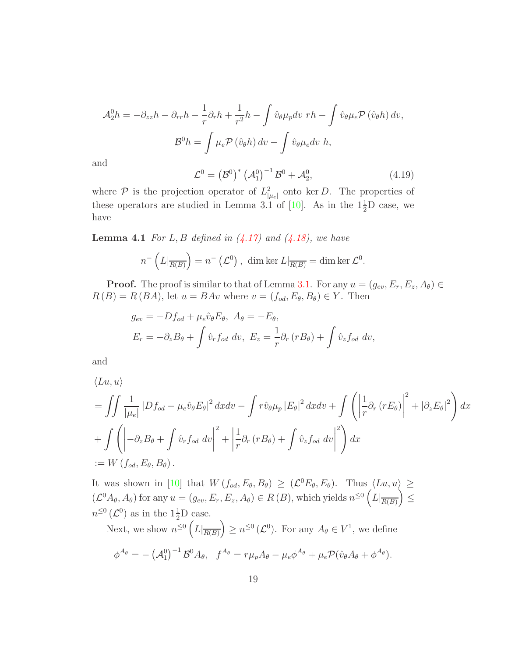$$
\mathcal{A}_2^0 h = -\partial_{zz} h - \partial_{rr} h - \frac{1}{r} \partial_r h + \frac{1}{r^2} h - \int \hat{v}_\theta \mu_p dv \ r h - \int \hat{v}_\theta \mu_e \mathcal{P} \left( \hat{v}_\theta h \right) dv,
$$

$$
\mathcal{B}^0 h = \int \mu_e \mathcal{P} \left( \hat{v}_\theta h \right) dv - \int \hat{v}_\theta \mu_e dv \ h,
$$

<span id="page-18-0"></span>and

$$
\mathcal{L}^{0} = (\mathcal{B}^{0})^{*} (\mathcal{A}_{1}^{0})^{-1} \mathcal{B}^{0} + \mathcal{A}_{2}^{0}, \qquad (4.19)
$$

where  $P$  is the projection operator of  $L^2_{\mu|e|}$  onto ker D. The properties of these operators are studied in Lemma 3.1 of [\[10\]](#page-22-0). As in the  $1\frac{1}{2}$ D case, we have

Lemma 4.1 *For* L, B *defined in [\(4.17\)](#page-16-3) and [\(4.18\)](#page-16-2), we have*

$$
n^{-}\left(L|_{\overline{R(B)}}\right)=n^{-}\left(\mathcal{L}^{0}\right), \dim \ker L|_{\overline{R(B)}}=\dim \ker \mathcal{L}^{0}.
$$

**Proof.** The proof is similar to that of Lemma [3.1.](#page-9-1) For any  $u = (g_{ev}, E_r, E_z, A_\theta) \in$  $R(B) = R(BA)$ , let  $u = BAv$  where  $v = (f_{od}, E_{\theta}, B_{\theta}) \in Y$ . Then

$$
g_{ev} = -Df_{od} + \mu_e \hat{v}_{\theta} E_{\theta}, \quad A_{\theta} = -E_{\theta},
$$
  

$$
E_r = -\partial_z B_{\theta} + \int \hat{v}_r f_{od} dv, \quad E_z = \frac{1}{r} \partial_r (r B_{\theta}) + \int \hat{v}_z f_{od} dv,
$$

and

$$
\langle Lu, u \rangle
$$
  
=  $\iint \frac{1}{|\mu_e|} |Df_{od} - \mu_e \hat{v}_{\theta} E_{\theta}|^2 dx dv - \int r \hat{v}_{\theta} \mu_p |E_{\theta}|^2 dx dv + \int \left( \left| \frac{1}{r} \partial_r (r E_{\theta}) \right|^2 + |\partial_z E_{\theta}|^2 \right) dx$   
+  $\int \left( -\partial_z B_{\theta} + \int \hat{v}_r f_{od} dv \right|^2 + \left| \frac{1}{r} \partial_r (r B_{\theta}) + \int \hat{v}_z f_{od} dv \right|^2 \right) dx$   
:=  $W (f_{od}, E_{\theta}, B_{\theta}).$ 

It was shown in [\[10\]](#page-22-0) that  $W(f_{od}, E_{\theta}, B_{\theta}) \geq (\mathcal{L}^0 E_{\theta}, E_{\theta})$ . Thus  $\langle Lu, u \rangle \geq$  $(\mathcal{L}^0A_{\theta}, A_{\theta})$  for any  $u = (g_{ev}, E_r, E_z, A_{\theta}) \in R(B)$ , which yields  $n^{\leq 0} (L|_{\overline{R(B)}}) \leq$  $n^{\leq 0}$  ( $\mathcal{L}^0$ ) as in the  $1\frac{1}{2}$ D case.

Next, we show  $n^{\leq 0} \left( L \vert_{\overline{R(B)}} \right) \geq n^{\leq 0} \left( \mathcal{L}^0 \right)$ . For any  $A_\theta \in V^1$ , we define

$$
\phi^{A_{\theta}} = -(\mathcal{A}_1^0)^{-1} \mathcal{B}^0 A_{\theta}, \quad f^{A_{\theta}} = r\mu_p A_{\theta} - \mu_e \phi^{A_{\theta}} + \mu_e \mathcal{P}(\hat{v}_{\theta} A_{\theta} + \phi^{A_{\theta}}).
$$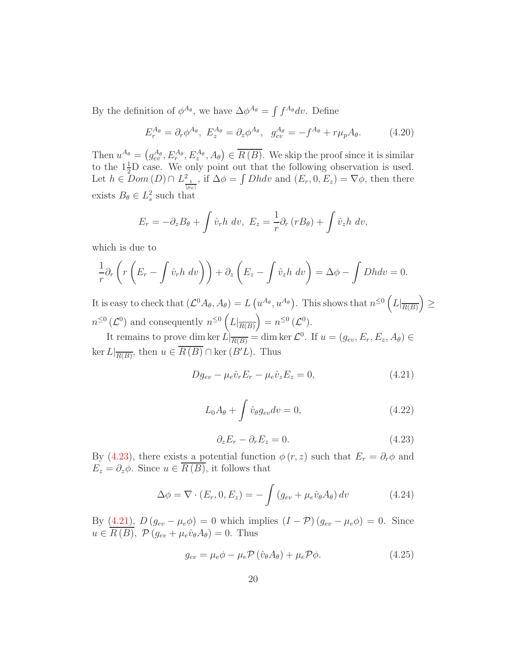By the definition of  $\phi^{A_{\theta}}$ , we have  $\Delta \phi^{A_{\theta}} = \int f^{A_{\theta}} dv$ . Define

<span id="page-19-5"></span>
$$
E_r^{A_\theta} = \partial_r \phi^{A_\theta}, \ E_z^{A_\theta} = \partial_z \phi^{A_\theta}, \ g_{ev}^{A_\theta} = -f^{A_\theta} + r\mu_p A_\theta. \tag{4.20}
$$

Then  $u^{A_{\theta}} = (g_{ev}^{A_{\theta}}, E_{r}^{A_{\theta}}, E_{z}^{A_{\theta}}, A_{\theta}) \in \overline{R(B)}$ . We skip the proof since it is similar to the  $1\frac{1}{2}$ D case. We only point out that the following observation is used. Let  $h \in Dom(D) \cap L^2_{\frac{1}{|\mu_e|}}$ , if  $\Delta \phi = \int Dh dv$  and  $(E_r, 0, E_z) = \nabla \phi$ , then there exists  $B_{\theta} \in L_s^2$  such that

$$
E_r = -\partial_z B_\theta + \int \hat{v}_r h \, dv, \ E_z = -\frac{1}{r} \partial_r (r B_\theta) + \int \hat{v}_z h \, dv,
$$

which is due to

$$
\frac{1}{r}\partial_r\left(r\left(E_r-\int \hat{v}_r h\;dv\right)\right)+\partial_z\left(E_z-\int \hat{v}_zh\;dv\right)=\Delta\phi-\int Dhdv=0.
$$

It is easy to check that  $(\mathcal{L}^0 A_{\theta}, A_{\theta}) = L(u^{A_{\theta}}, u^{A_{\theta}})$ . This shows that  $n^{\leq 0} (L|_{\overline{R(B)}}) \geq$  $n^{\leq 0}(\mathcal{L}^0)$  and consequently  $n^{\leq 0}\left(L|_{\overline{R(B)}}\right)=n^{\leq 0}(\mathcal{L}^0).$ 

<span id="page-19-2"></span>It remains to prove dim ker  $L|_{\overline{R(B)}} = \dim \ker \mathcal{L}^0$ . If  $u = (g_{ev}, E_r, E_z, A_\theta) \in$  $\ker L|_{\overline{R(B)}}, \text{ then } u \in \overline{R(B)} \cap \ker(B'L). \text{ Thus}$ 

<span id="page-19-1"></span>
$$
Dg_{ev} - \mu_e \hat{v}_r E_r - \mu_e \hat{v}_z E_z = 0, \qquad (4.21)
$$

$$
L_0 A_{\theta} + \int \hat{v}_{\theta} g_{ev} dv = 0, \qquad (4.22)
$$

<span id="page-19-3"></span>
$$
\partial_z E_r - \partial_r E_z = 0. \tag{4.23}
$$

<span id="page-19-0"></span>By [\(4.23\)](#page-19-0), there exists a potential function  $\phi(r, z)$  such that  $E_r = \partial_r \phi$  and  $E_z = \partial_z \phi$ . Since  $u \in \overline{R(B)}$ , it follows that

$$
\Delta \phi = \nabla \cdot (E_r, 0, E_z) = -\int (g_{ev} + \mu_e \hat{v}_\theta A_\theta) dv \qquad (4.24)
$$

By  $(4.21)$ ,  $D(g_{ev} - \mu_e \phi) = 0$  which implies  $(I - \mathcal{P}) (g_{ev} - \mu_e \phi) = 0$ . Since  $u \in R(B)$ ,  $\mathcal{P}(g_{ev} + \mu_e \hat{v}_{\theta} A_{\theta}) = 0$ . Thus

<span id="page-19-4"></span>
$$
g_{ev} = \mu_e \phi - \mu_e \mathcal{P} \left( \hat{v}_{\theta} A_{\theta} \right) + \mu_e \mathcal{P} \phi.
$$
 (4.25)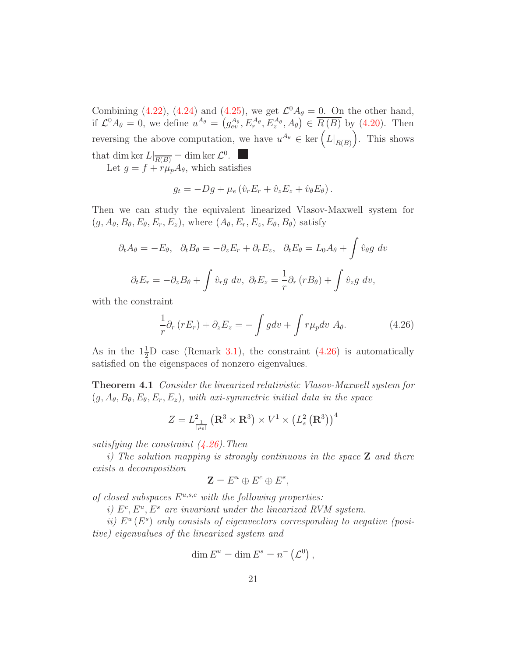Combining [\(4.22\)](#page-19-2), [\(4.24\)](#page-19-3) and [\(4.25\)](#page-19-4), we get  $\mathcal{L}^0 A_\theta = 0$ . On the other hand, if  $\mathcal{L}^0 A_\theta = 0$ , we define  $u^{A_\theta} = (g_{ev}^{A_\theta}, E_r^{A_\theta}, E_z^{A_\theta}, A_\theta) \in \overline{R(B)}$  by [\(4.20\)](#page-19-5). Then reversing the above computation, we have  $u^{A_{\theta}} \in \text{ker}\left(L\vert_{\overline{R(B)}}\right)$ . This shows that dim ker  $L|_{\overline{R(B)}} = \dim \ker \mathcal{L}^0$ .

Let  $g = f + r\mu_p A_\theta$ , which satisfies

$$
g_t = -Dg + \mu_e \left( \hat{v}_r E_r + \hat{v}_z E_z + \hat{v}_\theta E_\theta \right).
$$

Then we can study the equivalent linearized Vlasov-Maxwell system for  $(g, A_{\theta}, B_{\theta}, E_{\theta}, E_r, E_z)$ , where  $(A_{\theta}, E_r, E_z, E_{\theta}, B_{\theta})$  satisfy

$$
\partial_t A_\theta = -E_\theta, \quad \partial_t B_\theta = -\partial_z E_r + \partial_r E_z, \quad \partial_t E_\theta = L_0 A_\theta + \int \hat{v}_{\theta} g \, dv
$$

$$
\partial_t E_r = -\partial_z B_\theta + \int \hat{v}_r g \, dv, \quad \partial_t E_z = \frac{1}{r} \partial_r (r B_\theta) + \int \hat{v}_z g \, dv,
$$

with the constraint

<span id="page-20-0"></span>
$$
\frac{1}{r}\partial_r (rE_r) + \partial_z E_z = -\int g dv + \int r\mu_p dv A_\theta.
$$
\n(4.26)

As in the  $1\frac{1}{2}D$  case (Remark [3.1\)](#page-12-0), the constraint [\(4.26\)](#page-20-0) is automatically satisfied on the eigenspaces of nonzero eigenvalues.

Theorem 4.1 *Consider the linearized relativistic Vlasov-Maxwell system for*  $(g, A_{\theta}, B_{\theta}, E_{\theta}, E_r, E_z)$ *, with axi-symmetric initial data in the space* 

$$
Z = L_{\frac{1}{|\mu e|}}^2 (\mathbf{R}^3 \times \mathbf{R}^3) \times V^1 \times (L_s^2 (\mathbf{R}^3))^4
$$

*satisfying the constraint [\(4.26\)](#page-20-0).Then*

*i) The solution mapping is strongly continuous in the space* Z *and there exists a decomposition*

$$
\mathbf{Z} = E^u \oplus E^c \oplus E^s,
$$

of closed subspaces  $E^{u,s,c}$  with the following properties:

*i)*  $E^c, E^u, E^s$  are invariant under the linearized RVM system.

*ii*)  $E^u(E^s)$  only consists of eigenvectors corresponding to negative (posi*tive) eigenvalues of the linearized system and*

$$
\dim E^u = \dim E^s = n^-\left(\mathcal{L}^0\right),
$$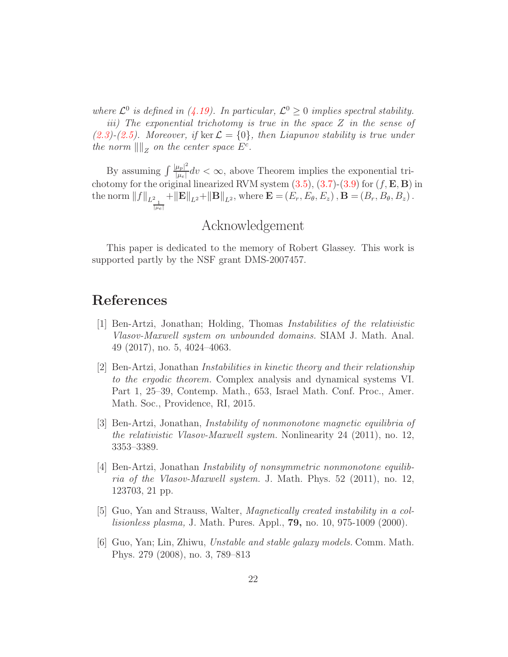where  $\mathcal{L}^0$  is defined in [\(4.19\)](#page-18-0). In particular,  $\mathcal{L}^0 \geq 0$  implies spectral stability. *iii) The exponential trichotomy is true in the space* Z *in the sense of*  $(2.3)$ <sup>2</sup> $(2.5)$ *. Moreover, if* ker  $\mathcal{L} = \{0\}$ *, then Liapunov stability is true under the norm*  $\|\|_Z$  *on the center space*  $E^c$ *.* 

By assuming  $\int \frac{|\mu_p|^2}{|\mu_p|}$  $\frac{\mu_{p|}}{|\mu_{e}|}dv < \infty$ , above Theorem implies the exponential trichotomy for the original linearized RVM system  $(3.5), (3.7)$  $(3.5), (3.7)$ - $(3.9)$  for  $(f, \mathbf{E}, \mathbf{B})$  in the norm  $||f||_{L^2_{\frac{1}{||\mu_e||}}}$  $+\|\mathbf{E}\|_{L^2}+\|\mathbf{B}\|_{L^2}$ , where  $\mathbf{E} = (E_r, E_\theta, E_z)$ ,  $\mathbf{B} = (B_r, B_\theta, B_z)$ .

# Acknowledgement

This paper is dedicated to the memory of Robert Glassey. This work is supported partly by the NSF grant DMS-2007457.

# <span id="page-21-3"></span>References

- [1] Ben-Artzi, Jonathan; Holding, Thomas *Instabilities of the relativistic Vlasov-Maxwell system on unbounded domains.* SIAM J. Math. Anal. 49 (2017), no. 5, 4024–4063.
- <span id="page-21-4"></span>[2] Ben-Artzi, Jonathan *Instabilities in kinetic theory and their relationship to the ergodic theorem.* Complex analysis and dynamical systems VI. Part 1, 25–39, Contemp. Math., 653, Israel Math. Conf. Proc., Amer. Math. Soc., Providence, RI, 2015.
- [3] Ben-Artzi, Jonathan, *Instability of nonmonotone magnetic equilibria of the relativistic Vlasov-Maxwell system.* Nonlinearity 24 (2011), no. 12, 3353–3389.
- <span id="page-21-2"></span>[4] Ben-Artzi, Jonathan *Instability of nonsymmetric nonmonotone equilibria of the Vlasov-Maxwell system.* J. Math. Phys. 52 (2011), no. 12, 123703, 21 pp.
- <span id="page-21-0"></span>[5] Guo, Yan and Strauss, Walter, *Magnetically created instability in a collisionless plasma,* J. Math. Pures. Appl., 79, no. 10, 975-1009 (2000).
- <span id="page-21-1"></span>[6] Guo, Yan; Lin, Zhiwu, *Unstable and stable galaxy models.* Comm. Math. Phys. 279 (2008), no. 3, 789–813